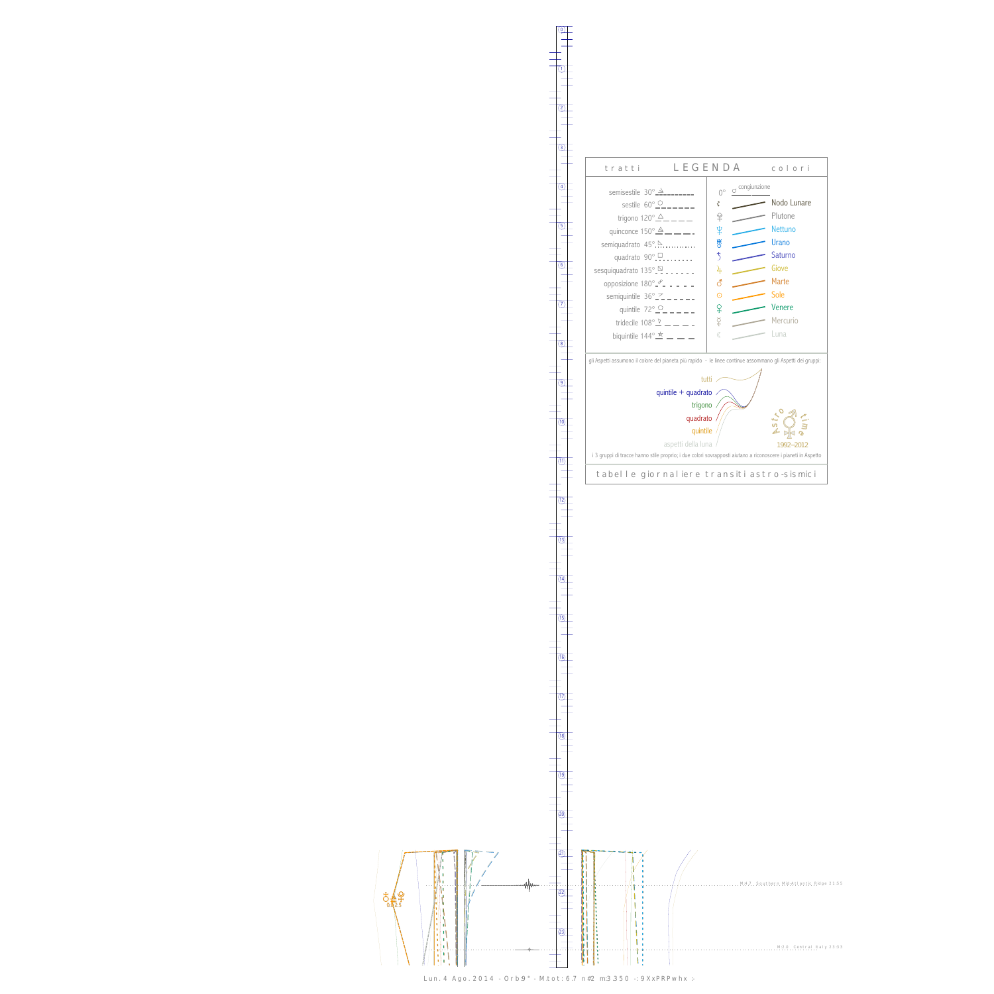0

1





Lun. 4 Ago. 2014 - Orb:9° - M.tot: 6.7 n#2 m:3.350 -: 9XxPRPwhx :-

 $(13)$